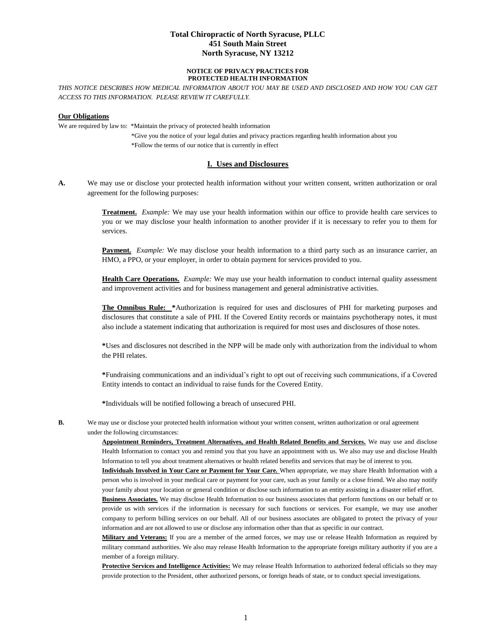## **Total Chiropractic of North Syracuse, PLLC 451 South Main Street North Syracuse, NY 13212**

#### **NOTICE OF PRIVACY PRACTICES FOR PROTECTED HEALTH INFORMATION**

*THIS NOTICE DESCRIBES HOW MEDICAL INFORMATION ABOUT YOU MAY BE USED AND DISCLOSED AND HOW YOU CAN GET ACCESS TO THIS INFORMATION. PLEASE REVIEW IT CAREFULLY.*

#### **Our Obligations**

We are required by law to: \*Maintain the privacy of protected health information

 \*Give you the notice of your legal duties and privacy practices regarding health information about you \*Follow the terms of our notice that is currently in effect

#### **I. Uses and Disclosures**

**A.** We may use or disclose your protected health information without your written consent, written authorization or oral agreement for the following purposes:

> **Treatment.** *Example:* We may use your health information within our office to provide health care services to you or we may disclose your health information to another provider if it is necessary to refer you to them for services.

> **Payment.** *Example:* We may disclose your health information to a third party such as an insurance carrier, an HMO, a PPO, or your employer, in order to obtain payment for services provided to you.

> **Health Care Operations.** *Example:* We may use your health information to conduct internal quality assessment and improvement activities and for business management and general administrative activities.

> **The Omnibus Rule: \***Authorization is required for uses and disclosures of PHI for marketing purposes and disclosures that constitute a sale of PHI. If the Covered Entity records or maintains psychotherapy notes, it must also include a statement indicating that authorization is required for most uses and disclosures of those notes.

> **\***Uses and disclosures not described in the NPP will be made only with authorization from the individual to whom the PHI relates.

> **\***Fundraising communications and an individual's right to opt out of receiving such communications, if a Covered Entity intends to contact an individual to raise funds for the Covered Entity.

**\***Individuals will be notified following a breach of unsecured PHI.

**B.** We may use or disclose your protected health information without your written consent, written authorization or oral agreement under the following circumstances:

> **Appointment Reminders, Treatment Alternatives, and Health Related Benefits and Services.** We may use and disclose Health Information to contact you and remind you that you have an appointment with us. We also may use and disclose Health Information to tell you about treatment alternatives or health related benefits and services that may be of interest to you.

> **Individuals Involved in Your Care or Payment for Your Care.** When appropriate, we may share Health Information with a person who is involved in your medical care or payment for your care, such as your family or a close friend. We also may notify your family about your location or general condition or disclose such information to an entity assisting in a disaster relief effort.

> **Business Associates.** We may disclose Health Information to our business associates that perform functions on our behalf or to provide us with services if the information is necessary for such functions or services. For example, we may use another company to perform billing services on our behalf. All of our business associates are obligated to protect the privacy of your information and are not allowed to use or disclose any information other than that as specific in our contract.

> **Military and Veterans:** If you are a member of the armed forces, we may use or release Health Information as required by military command authorities. We also may release Health Information to the appropriate foreign military authority if you are a member of a foreign military.

> **Protective Services and Intelligence Activities:** We may release Health Information to authorized federal officials so they may provide protection to the President, other authorized persons, or foreign heads of state, or to conduct special investigations.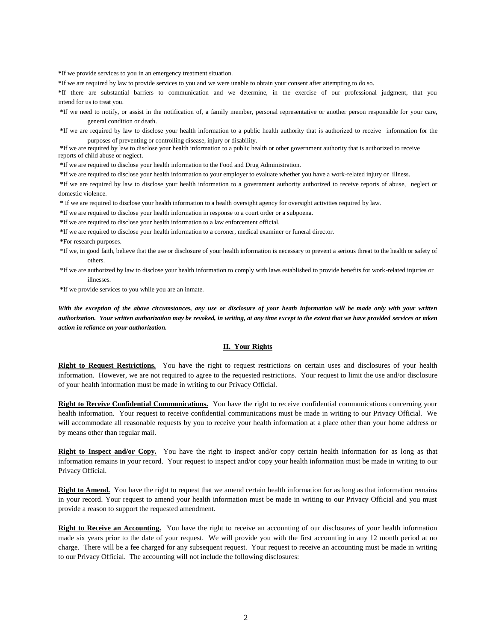**\***If we provide services to you in an emergency treatment situation.

**\***If we are required by law to provide services to you and we were unable to obtain your consent after attempting to do so.

**\***If there are substantial barriers to communication and we determine, in the exercise of our professional judgment, that you intend for us to treat you.

**\***If we need to notify, or assist in the notification of, a family member, personal representative or another person responsible for your care, general condition or death.

**\***If we are required by law to disclose your health information to a public health authority that is authorized to receive information for the purposes of preventing or controlling disease, injury or disability.

**\***If we are required by law to disclose your health information to a public health or other government authority that is authorized to receive reports of child abuse or neglect.

**\***If we are required to disclose your health information to the Food and Drug Administration.

**\***If we are required to disclose your health information to your employer to evaluate whether you have a work-related injury or illness.

**\***If we are required by law to disclose your health information to a government authority authorized to receive reports of abuse, neglect or domestic violence.

**\*** If we are required to disclose your health information to a health oversight agency for oversight activities required by law.

**\***If we are required to disclose your health information in response to a court order or a subpoena.

**\***If we are required to disclose your health information to a law enforcement official.

**\***If we are required to disclose your health information to a coroner, medical examiner or funeral director.

**\***For research purposes.

- \*If we, in good faith, believe that the use or disclosure of your health information is necessary to prevent a serious threat to the health or safety of others.
- \*If we are authorized by law to disclose your health information to comply with laws established to provide benefits for work-related injuries or illnesses.

**\***If we provide services to you while you are an inmate.

*With the exception of the above circumstances, any use or disclosure of your heath information will be made only with your written authorization. Your written authorization may be revoked, in writing, at any time except to the extent that we have provided services or taken action in reliance on your authorization.*

#### **II. Your Rights**

**Right to Request Restrictions.** You have the right to request restrictions on certain uses and disclosures of your health information. However, we are not required to agree to the requested restrictions. Your request to limit the use and/or disclosure of your health information must be made in writing to our Privacy Official.

**Right to Receive Confidential Communications.** You have the right to receive confidential communications concerning your health information. Your request to receive confidential communications must be made in writing to our Privacy Official. We will accommodate all reasonable requests by you to receive your health information at a place other than your home address or by means other than regular mail.

**Right to Inspect and/or Copy.** You have the right to inspect and/or copy certain health information for as long as that information remains in your record. Your request to inspect and/or copy your health information must be made in writing to our Privacy Official.

**Right to Amend.** You have the right to request that we amend certain health information for as long as that information remains in your record. Your request to amend your health information must be made in writing to our Privacy Official and you must provide a reason to support the requested amendment.

**Right to Receive an Accounting.** You have the right to receive an accounting of our disclosures of your health information made six years prior to the date of your request. We will provide you with the first accounting in any 12 month period at no charge. There will be a fee charged for any subsequent request. Your request to receive an accounting must be made in writing to our Privacy Official. The accounting will not include the following disclosures: